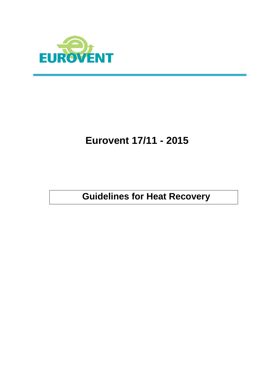

# **Eurovent 17/11 - 2015**

**Guidelines for Heat Recovery**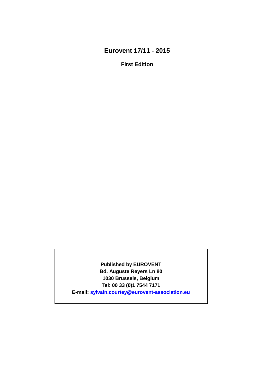# **Eurovent 17/11 - 2015**

**First Edition**

**Published by EUROVENT Bd. Auguste Reyers Ln 80 1030 Brussels, Belgium Tel: 00 33 (0)1 7544 7171 E-mail: [sylvain.courtey@eurovent-association.eu](mailto:sylvain.courtey@eurovent-association.eu)**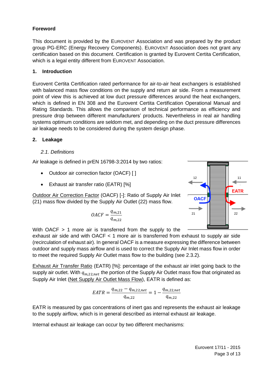# **Foreword**

This document is provided by the EUROVENT Association and was prepared by the product group PG-ERC (Energy Recovery Components). EUROVENT Association does not grant any certification based on this document. Certification is granted by Eurovent Certita Certification, which is a legal entity different from EUROVENT Association.

#### **1. Introduction**

Eurovent Certita Certification rated performance for air-to-air heat exchangers is established with balanced mass flow conditions on the supply and return air side. From a measurement point of view this is achieved at low duct pressure differences around the heat exchangers, which is defined in EN 308 and the Eurovent Certita Certification Operational Manual and Rating Standards. This allows the comparison of technical performance as efficiency and pressure drop between different manufacturers' products. Nevertheless in real air handling systems optimum conditions are seldom met, and depending on the duct pressure differences air leakage needs to be considered during the system design phase.

#### **2. Leakage**

#### *2.1. Definitions*

Air leakage is defined in prEN 16798-3:2014 by two ratios:

- Outdoor air correction factor (OACF) []
- Exhaust air transfer ratio (EATR) [%]

Outdoor Air Correction Factor (OACF) [-]: Ratio of Supply Air Inlet (21) mass flow divided by the Supply Air Outlet (22) mass flow.

$$
OACF = \frac{q_{m,21}}{q_{m,22}}
$$



With OACF > 1 more air is transferred from the supply to the

exhaust air side and with OACF < 1 more air is transferred from exhaust to supply air side (recirculation of exhaust air). In general OACF is a measure expressing the difference between outdoor and supply mass airflow and is used to correct the Supply Air Inlet mass flow in order to meet the required Supply Air Outlet mass flow to the building (see 2.3.2).

Exhaust Air Transfer Ratio (EATR) [%]: percentage of the exhaust air inlet going back to the supply air outlet. With  $q_{m,22,net}$  the portion of the Supply Air Outlet mass flow that originated as Supply Air Inlet (Net Supply Air Outlet Mass Flow), EATR is defined as:

$$
EATR = \frac{q_{m,22} - q_{m,22,net}}{q_{m,22}} = 1 - \frac{q_{m,22,net}}{q_{m,22}}
$$

EATR is measured by gas concentrations of inert gas and represents the exhaust air leakage to the supply airflow, which is in general described as internal exhaust air leakage.

Internal exhaust air leakage can occur by two different mechanisms: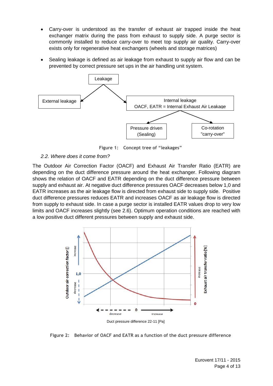- Carry-over is understood as the transfer of exhaust air trapped inside the heat exchanger matrix during the pass from exhaust to supply side. A purge sector is commonly installed to reduce carry-over to meet top supply air quality. Carry-over exists only for regenerative heat exchangers (wheels and storage matrices)
- Sealing leakage is defined as air leakage from exhaust to supply air flow and can be prevented by correct pressure set ups in the air handling unit system.



**Figure 1: Concept tree of "leakages"**

#### *2.2. Where does it come from?*

The Outdoor Air Correction Factor (OACF) and Exhaust Air Transfer Ratio (EATR) are depending on the duct difference pressure around the heat exchanger. Following diagram shows the relation of OACF and EATR depending on the duct difference pressure between supply and exhaust air. At negative duct difference pressures OACF decreases below 1,0 and EATR increases as the air leakage flow is directed from exhaust side to supply side. Positive duct difference pressures reduces EATR and increases OACF as air leakage flow is directed from supply to exhaust side. In case a purge sector is installed EATR values drop to very low limits and OACF increases slightly (see 2.6). Optimum operation conditions are reached with a low positive duct different pressures between supply and exhaust side.



**Figure 2: Behavior of OACF and EATR as a function of the duct pressure difference**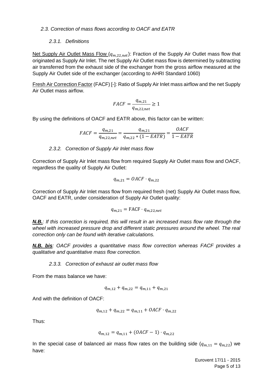#### *2.3. Correction of mass flows according to OACF and EATR*

#### *2.3.1. Definitions*

Net Supply Air Outlet Mass Flow  $(q_{m,22,net})$ : Fraction of the Supply Air Outlet mass flow that originated as Supply Air Inlet. The net Supply Air Outlet mass flow is determined by subtracting air transferred from the exhaust side of the exchanger from the gross airflow measured at the Supply Air Outlet side of the exchanger (according to AHRI Standard 1060)

Fresh Air Correction Factor (FACF) [-]: Ratio of Supply Air Inlet mass airflow and the net Supply Air Outlet mass airflow.

$$
FACF = \frac{q_{m,21}}{q_{m,22,net}} \ge 1
$$

By using the definitions of OACF and EATR above, this factor can be written:

$$
FACF = \frac{q_{m,21}}{q_{m,22,net}} = \frac{q_{m,21}}{q_{m,22} * (1 - EATR)} = \frac{OACF}{1 - EATR}
$$

#### *2.3.2. Correction of Supply Air Inlet mass flow*

Correction of Supply Air Inlet mass flow from required Supply Air Outlet mass flow and OACF, regardless the quality of Supply Air Outlet:

$$
q_{m,21} = OACF \cdot q_{m,22}
$$

Correction of Supply Air Inlet mass flow from required fresh (net) Supply Air Outlet mass flow, OACF and EATR, under consideration of Supply Air Outlet quality:

$$
q_{m,21} = \text{FACF} \cdot q_{m,22,net}
$$

*N.B.: If this correction is required, this will result in an increased mass flow rate through the wheel with increased pressure drop and different static pressures around the wheel. The real correction only can be found with iterative calculations.*

*N.B. bis: OACF provides a quantitative mass flow correction whereas FACF provides a qualitative and quantitative mass flow correction.*

*2.3.3. Correction of exhaust air outlet mass flow*

From the mass balance we have:

$$
q_{m,12} + q_{m,22} = q_{m,11} + q_{m,21}
$$

And with the definition of OACF:

$$
q_{m,12} + q_{m,22} = q_{m,11} + OACF \cdot q_{m,22}
$$

Thus:

$$
q_{m,12} = q_{m,11} + (OACF - 1) \cdot q_{m,22}
$$

In the special case of balanced air mass flow rates on the building side  $(q_{m,11} = q_{m,22})$  we have:

> Eurovent 17/11 - 2015 Page 5 of 13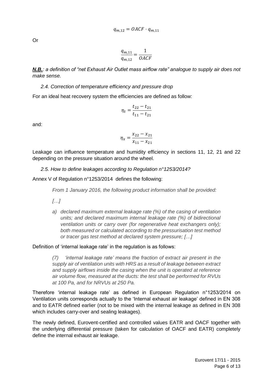Or

$$
\frac{q_{m,11}}{q_{m,12}} = \frac{1}{OACF}
$$

*N.B.: a definition of "net Exhaust Air Outlet mass airflow rate" analogue to supply air does not make sense.*

#### *2.4. Correction of temperature efficiency and pressure drop*

For an ideal heat recovery system the efficiencies are defined as follow:

$$
\eta_t = \frac{t_{22} - t_{21}}{t_{11} - t_{21}}
$$

and:

$$
\eta_x = \frac{x_{22} - x_{21}}{x_{11} - x_{21}}
$$

Leakage can influence temperature and humidity efficiency in sections 11, 12, 21 and 22 depending on the pressure situation around the wheel.

#### *2.5. How to define leakages according to Regulation n°1253/2014?*

Annex V of Regulation n°1253/2014 defines the following:

*From 1 January 2016, the following product information shall be provided:*

*[…]*

*a) declared maximum external leakage rate (%) of the casing of ventilation units; and declared maximum internal leakage rate (%) of bidirectional ventilation units or carry over (for regenerative heat exchangers only); both measured or calculated according to the pressurisation test method or tracer gas test method at declared system pressure; […]*

#### Definition of 'internal leakage rate' in the regulation is as follows:

*(7) 'internal leakage rate' means the fraction of extract air present in the supply air of ventilation units with HRS as a result of leakage between extract and supply airflows inside the casing when the unit is operated at reference air volume flow, measured at the ducts: the test shall be performed for RVUs at 100 Pa, and for NRVUs at 250 Pa.*

Therefore 'internal leakage rate' as defined in European Regulation n°1253/2014 on Ventilation units corresponds actually to the 'Internal exhaust air leakage' defined in EN 308 and to EATR defined earlier (not to be mixed with the internal leakage as defined in EN 308 which includes carry-over and sealing leakages).

The newly defined, Eurovent-certified and controlled values EATR and OACF together with the underlying differential pressure (taken for calculation of OACF and EATR) completely define the internal exhaust air leakage.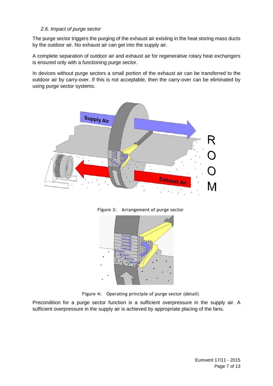#### *2.6. Impact of purge sector*

The purge sector triggers the purging of the exhaust air existing in the heat storing mass ducts by the outdoor air. No exhaust air can get into the supply air.

A complete separation of outdoor air and exhaust air for regenerative rotary heat exchangers is ensured only with a functioning purge sector.

In devices without purge sectors a small portion of the exhaust air can be transferred to the outdoor air by carry-over. If this is not acceptable, then the carry-over can be eliminated by using purge sector systems.







**Figure 4: Operating principle of purge sector (detail)**

Precondition for a purge sector function is a sufficient overpressure in the supply air. A sufficient overpressure in the supply air is achieved by appropriate placing of the fans.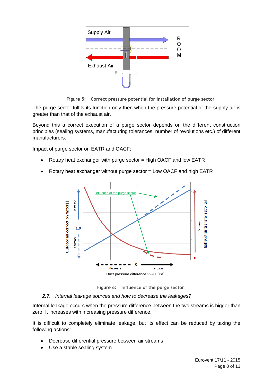

**Figure 5: Correct pressure potential for installation of purge sector**

The purge sector fulfils its function only then when the pressure potential of the supply air is greater than that of the exhaust air.

Beyond this a correct execution of a purge sector depends on the different construction principles (sealing systems, manufacturing tolerances, number of revolutions etc.) of different manufacturers.

Impact of purge sector on EATR and OACF:

- Rotary heat exchanger with purge sector  $=$  High OACF and low EATR
- Rotary heat exchanger without purge sector = Low OACF and high EATR



**Figure 6: Influence of the purge sector**

#### *2.7. Internal leakage sources and how to decrease the leakages?*

Internal leakage occurs when the pressure difference between the two streams is bigger than zero. It increases with increasing pressure difference.

It is difficult to completely eliminate leakage, but its effect can be reduced by taking the following actions:

- Decrease differential pressure between air streams
- Use a stable sealing system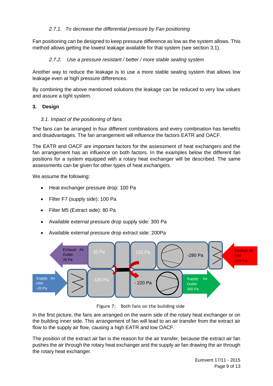# *2.7.1. To decrease the differential pressure by Fan positioning*

Fan positioning can be designed to keep pressure difference as low as the system allows. This method allows getting the lowest leakage available for that system (see section 3.1).

# *2.7.2. Use a pressure resistant / better / more stable sealing system*

Another way to reduce the leakage is to use a more stable sealing system that allows low leakage even at high pressure differences.

By combining the above mentioned solutions the leakage can be reduced to very low values and assure a tight system.

#### **3. Design**

#### *3.1. Impact of the positioning of fans*

The fans can be arranged in four different combinations and every combination has benefits and disadvantages. The fan arrangement will influence the factors EATR and OACF.

The EATR and OACF are important factors for the assessment of heat exchangers and the fan arrangement has an influence on both factors. In the examples below the different fan positions for a system equipped with a rotary heat exchanger will be described. The same assessments can be given for other types of heat exchangers.

We assume the following:

- Heat exchanger pressure drop: 100 Pa
- Filter F7 (supply side): 100 Pa
- Filter M5 (Extract side): 80 Pa
- Available external pressure drop supply side: 300 Pa
- Available external pressure drop extract side: 200Pa



**Figure 7: Both fans on the building side**

In the first picture, the fans are arranged on the warm side of the rotary heat exchanger or on the building inner side. This arrangement of fan will lead to an air transfer from the extract air flow to the supply air flow, causing a high EATR and low OACF.

The position of the extract air fan is the reason for the air transfer, because the extract air fan pushes the air through the rotary heat exchanger and the supply air fan drawing the air through the rotary heat exchanger.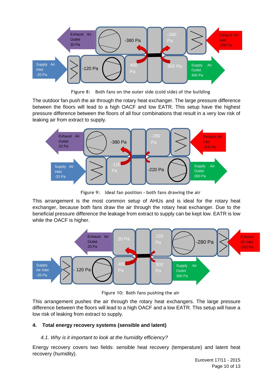

**Figure 8: Both fans on the outer side (cold side) of the building**

The outdoor fan push the air through the rotary heat exchanger. The large pressure difference between the floors will lead to a high OACF and low EATR. This setup have the highest pressure difference between the floors of all four combinations that result in a very low risk of leaking air from extract to supply.



**Figure 9: Ideal fan position - both fans drawing the air**

This arrangement is the most common setup of AHUs and is ideal for the rotary heat exchanger, because both fans draw the air through the rotary heat exchanger. Due to the beneficial pressure difference the leakage from extract to supply can be kept low. EATR is low while the OACF is higher.



**Figure 10: Both fans pushing the air**

This arrangement pushes the air through the rotary heat exchangers. The large pressure difference between the floors will lead to a high OACF and a low EATR. This setup will have a low risk of leaking from extract to supply.

# **4. Total energy recovery systems (sensible and latent)**

# *4.1. Why is it important to look at the humidity efficiency?*

Energy recovery covers two fields: sensible heat recovery (temperature) and latent heat recovery (humidity).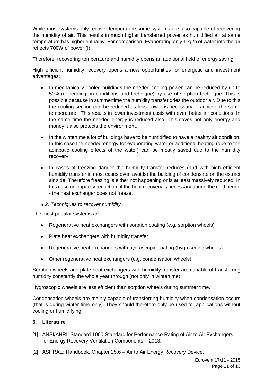While most systems only recover temperature some systems are also capable of recovering the humidity of air. This results in much higher transferred power as humidified air at same temperature has higher enthalpy. For comparison: Evaporating only 1 kg/h of water into the air reflects 700W of power (!).

Therefore, recovering temperature and humidity opens an additional field of energy saving.

High efficient humidity recovery opens a new opportunities for energetic and investment advantages:

- In mechanically cooled buildings the needed cooling power can be reduced by up to 50% (depending on conditions and technique) by use of sorption technique. This is possible because in summertime the humidity transfer dries the outdoor air. Due to this the cooling section can be reduced as less power is necessary to achieve the same temperature. This results in lower investment costs with even better air conditions. In the same time the needed energy is reduced also. This saves not only energy and money it also protects the environment.
- In the wintertime a lot of buildings have to be humidified to have a healthy air condition. In this case the needed energy for evaporating water or additional heating (due to the adiabatic cooling effects of the water) can be mostly saved due to the humidity recovery.
- In cases of freezing danger the humidity transfer reduces (and with high efficient humidity transfer in most cases even avoids) the building of condensate on the extract air side. Therefore freezing is either not happening or is at least massively reduced. In this case no capacity reduction of the heat recovery is necessary during the cold period - the heat exchanger does not freeze.

#### *4.2. Techniques to recover humidity*

The most popular systems are:

- Regenerative heat exchangers with sorption coating (e.g. sorption wheels)
- Plate heat exchangers with humidity transfer
- Regenerative heat exchangers with hygroscopic coating (hygroscopic wheels)
- Other regenerative heat exchangers (e.g. condensation wheels)

Sorption wheels and plate heat exchangers with humidity transfer are capable of transferring humidity constantly the whole year through (not only in wintertime).

Hygroscopic wheels are less efficient than sorption wheels during summer time.

Condensation wheels are mainly capable of transferring humidity when condensation occurs (that is during winter time only). They should therefore only be used for applications without cooling or humidifying.

#### **5. Literature**

- [1] ANSI/AHRI: Standard 1060 Standard for Performance Rating of Air to Air Exchangers for Energy Recovery Ventilation Components – 2013.
- [2] ASHRAE: Handbook, Chapter 25.6 Air to Air Energy Recovery Device.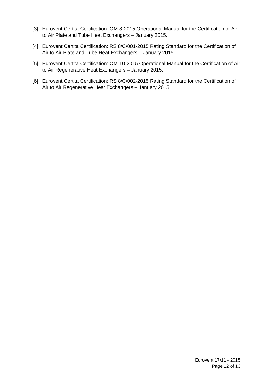- [3] Eurovent Certita Certification: OM-8-2015 Operational Manual for the Certification of Air to Air Plate and Tube Heat Exchangers – January 2015.
- [4] Eurovent Certita Certification: RS 8/C/001-2015 Rating Standard for the Certification of Air to Air Plate and Tube Heat Exchangers – January 2015.
- [5] Eurovent Certita Certification: OM-10-2015 Operational Manual for the Certification of Air to Air Regenerative Heat Exchangers – January 2015.
- [6] Eurovent Certita Certification: RS 8/C/002-2015 Rating Standard for the Certification of Air to Air Regenerative Heat Exchangers – January 2015.